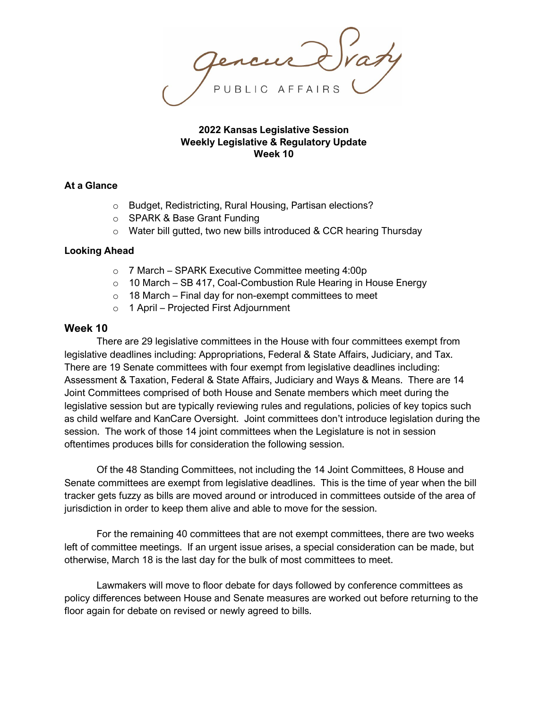#### **2022 Kansas Legislative Session Weekly Legislative & Regulatory Update Week 10**

## **At a Glance**

- o Budget, Redistricting, Rural Housing, Partisan elections?
- o SPARK & Base Grant Funding
- o Water bill gutted, two new bills introduced & CCR hearing Thursday

## **Looking Ahead**

- o 7 March SPARK Executive Committee meeting 4:00p
- o 10 March SB 417, Coal-Combustion Rule Hearing in House Energy
- $\circ$  18 March Final day for non-exempt committees to meet
- o 1 April Projected First Adjournment

## **Week 10**

There are 29 legislative committees in the House with four committees exempt from legislative deadlines including: Appropriations, Federal & State Affairs, Judiciary, and Tax. There are 19 Senate committees with four exempt from legislative deadlines including: Assessment & Taxation, Federal & State Affairs, Judiciary and Ways & Means. There are 14 Joint Committees comprised of both House and Senate members which meet during the legislative session but are typically reviewing rules and regulations, policies of key topics such as child welfare and KanCare Oversight. Joint committees don't introduce legislation during the session. The work of those 14 joint committees when the Legislature is not in session oftentimes produces bills for consideration the following session.

Of the 48 Standing Committees, not including the 14 Joint Committees, 8 House and Senate committees are exempt from legislative deadlines. This is the time of year when the bill tracker gets fuzzy as bills are moved around or introduced in committees outside of the area of jurisdiction in order to keep them alive and able to move for the session.

For the remaining 40 committees that are not exempt committees, there are two weeks left of committee meetings. If an urgent issue arises, a special consideration can be made, but otherwise, March 18 is the last day for the bulk of most committees to meet.

Lawmakers will move to floor debate for days followed by conference committees as policy differences between House and Senate measures are worked out before returning to the floor again for debate on revised or newly agreed to bills.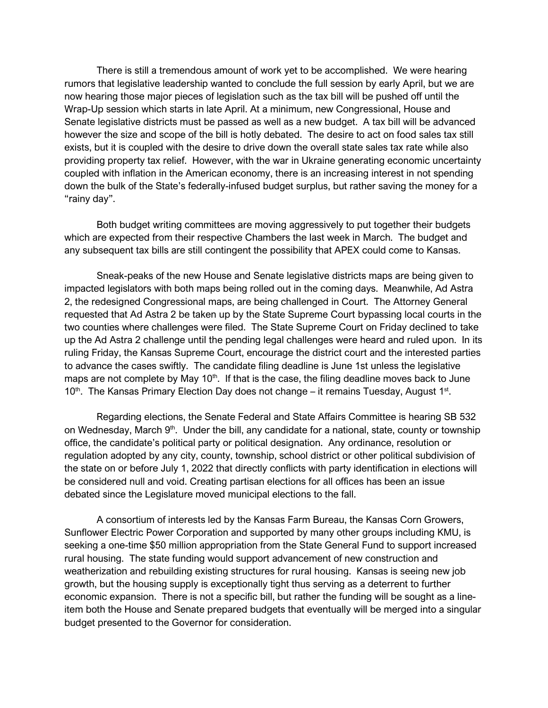There is still a tremendous amount of work yet to be accomplished. We were hearing rumors that legislative leadership wanted to conclude the full session by early April, but we are now hearing those major pieces of legislation such as the tax bill will be pushed off until the Wrap-Up session which starts in late April. At a minimum, new Congressional, House and Senate legislative districts must be passed as well as a new budget. A tax bill will be advanced however the size and scope of the bill is hotly debated. The desire to act on food sales tax still exists, but it is coupled with the desire to drive down the overall state sales tax rate while also providing property tax relief. However, with the war in Ukraine generating economic uncertainty coupled with inflation in the American economy, there is an increasing interest in not spending down the bulk of the State's federally-infused budget surplus, but rather saving the money for a "rainy day".

Both budget writing committees are moving aggressively to put together their budgets which are expected from their respective Chambers the last week in March. The budget and any subsequent tax bills are still contingent the possibility that APEX could come to Kansas.

Sneak-peaks of the new House and Senate legislative districts maps are being given to impacted legislators with both maps being rolled out in the coming days. Meanwhile, Ad Astra 2, the redesigned Congressional maps, are being challenged in Court. The Attorney General requested that Ad Astra 2 be taken up by the State Supreme Court bypassing local courts in the two counties where challenges were filed. The State Supreme Court on Friday declined to take up the Ad Astra 2 challenge until the pending legal challenges were heard and ruled upon. In its ruling Friday, the Kansas Supreme Court, encourage the district court and the interested parties to advance the cases swiftly. The candidate filing deadline is June 1st unless the legislative maps are not complete by May 10<sup>th</sup>. If that is the case, the filing deadline moves back to June  $10<sup>th</sup>$ . The Kansas Primary Election Day does not change – it remains Tuesday, August  $1<sup>st</sup>$ .

Regarding elections, the Senate Federal and State Affairs Committee is hearing SB 532 on Wednesday, March  $9<sup>th</sup>$ . Under the bill, any candidate for a national, state, county or township office, the candidate's political party or political designation. Any ordinance, resolution or regulation adopted by any city, county, township, school district or other political subdivision of the state on or before July 1, 2022 that directly conflicts with party identification in elections will be considered null and void. Creating partisan elections for all offices has been an issue debated since the Legislature moved municipal elections to the fall.

A consortium of interests led by the Kansas Farm Bureau, the Kansas Corn Growers, Sunflower Electric Power Corporation and supported by many other groups including KMU, is seeking a one-time \$50 million appropriation from the State General Fund to support increased rural housing. The state funding would support advancement of new construction and weatherization and rebuilding existing structures for rural housing. Kansas is seeing new job growth, but the housing supply is exceptionally tight thus serving as a deterrent to further economic expansion. There is not a specific bill, but rather the funding will be sought as a lineitem both the House and Senate prepared budgets that eventually will be merged into a singular budget presented to the Governor for consideration.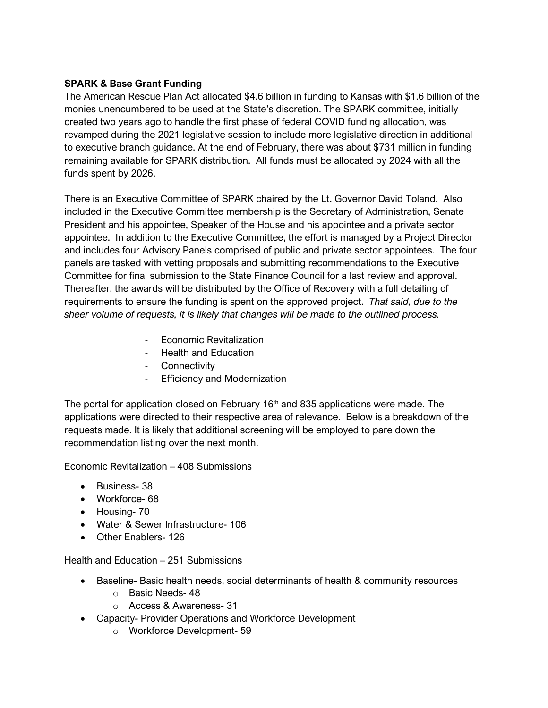# **SPARK & Base Grant Funding**

The American Rescue Plan Act allocated \$4.6 billion in funding to Kansas with \$1.6 billion of the monies unencumbered to be used at the State's discretion. The SPARK committee, initially created two years ago to handle the first phase of federal COVID funding allocation, was revamped during the 2021 legislative session to include more legislative direction in additional to executive branch guidance. At the end of February, there was about \$731 million in funding remaining available for SPARK distribution. All funds must be allocated by 2024 with all the funds spent by 2026.

There is an Executive Committee of SPARK chaired by the Lt. Governor David Toland. Also included in the Executive Committee membership is the Secretary of Administration, Senate President and his appointee, Speaker of the House and his appointee and a private sector appointee. In addition to the Executive Committee, the effort is managed by a Project Director and includes four Advisory Panels comprised of public and private sector appointees. The four panels are tasked with vetting proposals and submitting recommendations to the Executive Committee for final submission to the State Finance Council for a last review and approval. Thereafter, the awards will be distributed by the Office of Recovery with a full detailing of requirements to ensure the funding is spent on the approved project. *That said, due to the sheer volume of requests, it is likely that changes will be made to the outlined process.*

- Economic Revitalization
- Health and Education
- Connectivity
- Efficiency and Modernization

The portal for application closed on February  $16<sup>th</sup>$  and 835 applications were made. The applications were directed to their respective area of relevance. Below is a breakdown of the requests made. It is likely that additional screening will be employed to pare down the recommendation listing over the next month.

## Economic Revitalization – 408 Submissions

- Business- 38
- Workforce- 68
- Housing- 70
- Water & Sewer Infrastructure- 106
- Other Enablers- 126

## Health and Education – 251 Submissions

- Baseline- Basic health needs, social determinants of health & community resources
	- o Basic Needs- 48
	- o Access & Awareness- 31
- Capacity- Provider Operations and Workforce Development
	- o Workforce Development- 59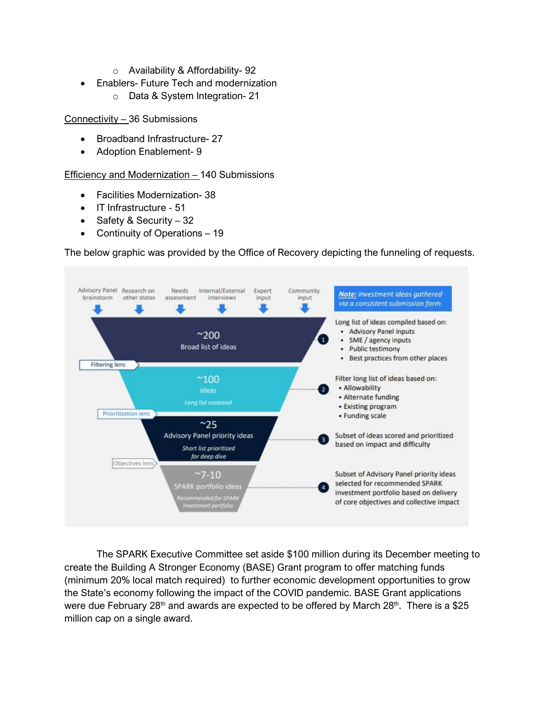- o Availability & Affordability- 92
- Enablers- Future Tech and modernization
	- o Data & System Integration- 21

Connectivity – 36 Submissions

- Broadband Infrastructure- 27
- Adoption Enablement- 9

Efficiency and Modernization – 140 Submissions

- Facilities Modernization- 38
- IT Infrastructure 51
- Safety & Security 32
- Continuity of Operations 19

The below graphic was provided by the Office of Recovery depicting the funneling of requests.



The SPARK Executive Committee set aside \$100 million during its December meeting to create the Building A Stronger Economy (BASE) Grant program to offer matching funds (minimum 20% local match required) to further economic development opportunities to grow the State's economy following the impact of the COVID pandemic. BASE Grant applications were due February 28<sup>th</sup> and awards are expected to be offered by March 28<sup>th</sup>. There is a \$25 million cap on a single award.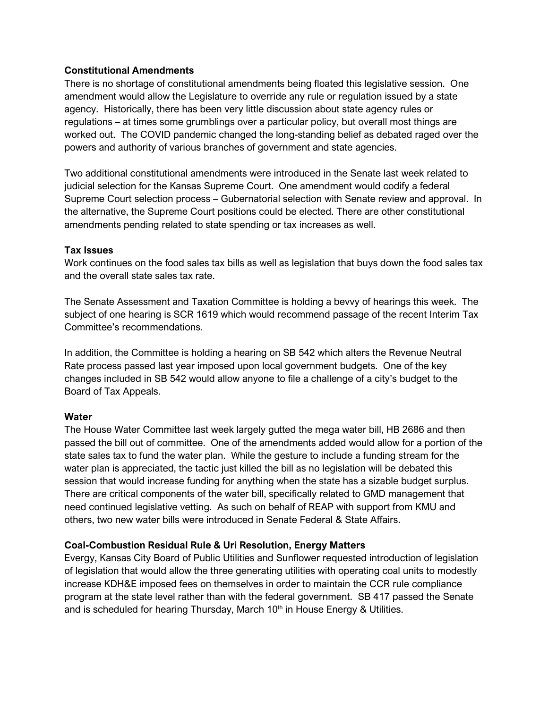## **Constitutional Amendments**

There is no shortage of constitutional amendments being floated this legislative session. One amendment would allow the Legislature to override any rule or regulation issued by a state agency. Historically, there has been very little discussion about state agency rules or regulations – at times some grumblings over a particular policy, but overall most things are worked out. The COVID pandemic changed the long-standing belief as debated raged over the powers and authority of various branches of government and state agencies.

Two additional constitutional amendments were introduced in the Senate last week related to judicial selection for the Kansas Supreme Court. One amendment would codify a federal Supreme Court selection process – Gubernatorial selection with Senate review and approval. In the alternative, the Supreme Court positions could be elected. There are other constitutional amendments pending related to state spending or tax increases as well.

## **Tax Issues**

Work continues on the food sales tax bills as well as legislation that buys down the food sales tax and the overall state sales tax rate.

The Senate Assessment and Taxation Committee is holding a bevvy of hearings this week. The subject of one hearing is SCR 1619 which would recommend passage of the recent Interim Tax Committee's recommendations.

In addition, the Committee is holding a hearing on SB 542 which alters the Revenue Neutral Rate process passed last year imposed upon local government budgets. One of the key changes included in SB 542 would allow anyone to file a challenge of a city's budget to the Board of Tax Appeals.

## **Water**

The House Water Committee last week largely gutted the mega water bill, HB 2686 and then passed the bill out of committee. One of the amendments added would allow for a portion of the state sales tax to fund the water plan. While the gesture to include a funding stream for the water plan is appreciated, the tactic just killed the bill as no legislation will be debated this session that would increase funding for anything when the state has a sizable budget surplus. There are critical components of the water bill, specifically related to GMD management that need continued legislative vetting. As such on behalf of REAP with support from KMU and others, two new water bills were introduced in Senate Federal & State Affairs.

## **Coal-Combustion Residual Rule & Uri Resolution, Energy Matters**

Evergy, Kansas City Board of Public Utilities and Sunflower requested introduction of legislation of legislation that would allow the three generating utilities with operating coal units to modestly increase KDH&E imposed fees on themselves in order to maintain the CCR rule compliance program at the state level rather than with the federal government. SB 417 passed the Senate and is scheduled for hearing Thursday, March 10<sup>th</sup> in House Energy & Utilities.